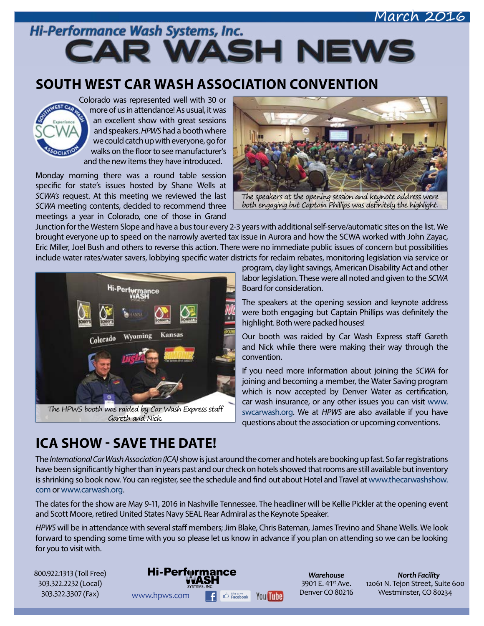### March 2016

Hi-Performance Wash Systems, Inc. **CAR WASH NEWS** 

## **SOUTH WEST CAR WASH ASSOCIATION CONVENTION**



Colorado was represented well with 30 or more of us in attendance! As usual, it was an excellent show with great sessions and speakers. *HPWS* had a booth where we could catch up with everyone, go for walks on the floor to see manufacturer's and the new items they have introduced.

Monday morning there was a round table session specific for state's issues hosted by Shane Wells at *SCWA's* request. At this meeting we reviewed the last *SCWA* meeting contents, decided to recommend three meetings a year in Colorado, one of those in Grand



The speakers at the opening session and keynote address were both engaging but Captain Phillips was definitely the highlight.

Junction for the Western Slope and have a bus tour every 2-3 years with additional self-serve/automatic sites on the list. We brought everyone up to speed on the narrowly averted tax issue in Aurora and how the SCWA worked with John Zayac, Eric Miller, Joel Bush and others to reverse this action. There were no immediate public issues of concern but possibilities include water rates/water savers, lobbying specific water districts for reclaim rebates, monitoring legislation via service or



program, day light savings, American Disability Act and other labor legislation. These were all noted and given to the *SCWA* Board for consideration.

The speakers at the opening session and keynote address were both engaging but Captain Phillips was definitely the highlight. Both were packed houses!

Our booth was raided by Car Wash Express staff Gareth and Nick while there were making their way through the convention.

If you need more information about joining the *SCWA* for joining and becoming a member, the Water Saving program which is now accepted by Denver Water as certification, car wash insurance, or any other issues you can visit [www.](http://www.swcarwash.org) [swcarwash.org.](http://www.swcarwash.org) We at *HPWS* are also available if you have questions about the association or upcoming conventions.

# **ICA SHOW - SAVE THE DATE!**

The *International Car Wash Association (ICA)* show is just around the corner and hotels are booking up fast. So far registrations have been significantly higher than in years past and our check on hotels showed that rooms are still available but inventory is shrinking so book now. You can register, see the schedule and find out about Hotel and Travel at [www.thecarwashshow.](http://www.thecarwashshow.com) [com](http://www.thecarwashshow.com) or [www.carwash.org](http://www.carwash.org).

The dates for the show are May 9-11, 2016 in Nashville Tennessee. The headliner will be Kellie Pickler at the opening event and Scott Moore, retired United States Navy SEAL Rear Admiral as the Keynote Speaker.

*HPWS* will be in attendance with several staff members; Jim Blake, Chris Bateman, James Trevino and Shane Wells. We look forward to spending some time with you so please let us know in advance if you plan on attending so we can be looking for you to visit with.

800.922.1313 (Toll Free) 303.322.2232 (Local) 303.322.3307 (Fax)



*Warehouse* 3901 E. 41<sup>st</sup> Ave. Denver CO 80216

*North Facility* 12061 N. Tejon Street, Suite 600